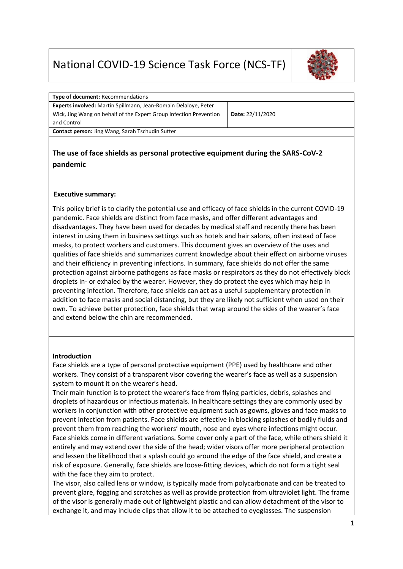# National COVID-19 Science Task Force (NCS-TF)



| <b>Type of document: Recommendations</b>                           |                  |  |  |  |
|--------------------------------------------------------------------|------------------|--|--|--|
| Experts involved: Martin Spillmann, Jean-Romain Delaloye, Peter    |                  |  |  |  |
| Wick, Jing Wang on behalf of the Expert Group Infection Prevention | Date: 22/11/2020 |  |  |  |
| and Control                                                        |                  |  |  |  |
| Contact person: Jing Wang, Sarah Tschudin Sutter                   |                  |  |  |  |
|                                                                    |                  |  |  |  |

## **The use of face shields as personal protective equipment during the SARS-CoV-2 pandemic**

#### **Executive summary:**

This policy brief is to clarify the potential use and efficacy of face shields in the current COVID-19 pandemic. Face shields are distinct from face masks, and offer different advantages and disadvantages. They have been used for decades by medical staff and recently there has been interest in using them in business settings such as hotels and hair salons, often instead of face masks, to protect workers and customers. This document gives an overview of the uses and qualities of face shields and summarizes current knowledge about their effect on airborne viruses and their efficiency in preventing infections. In summary, face shields do not offer the same protection against airborne pathogens as face masks or respirators as they do not effectively block droplets in- or exhaled by the wearer. However, they do protect the eyes which may help in preventing infection. Therefore, face shields can act as a useful supplementary protection in addition to face masks and social distancing, but they are likely not sufficient when used on their own. To achieve better protection, face shields that wrap around the sides of the wearer's face and extend below the chin are recommended.

#### **Introduction**

Face shields are a type of personal protective equipment (PPE) used by healthcare and other workers. They consist of a transparent visor covering the wearer's face as well as a suspension system to mount it on the wearer's head.

Their main function is to protect the wearer's face from flying particles, debris, splashes and droplets of hazardous or infectious materials. In healthcare settings they are commonly used by workers in conjunction with other protective equipment such as gowns, gloves and face masks to prevent infection from patients. Face shields are effective in blocking splashes of bodily fluids and prevent them from reaching the workers' mouth, nose and eyes where infections might occur. Face shields come in different variations. Some cover only a part of the face, while others shield it entirely and may extend over the side of the head; wider visors offer more peripheral protection and lessen the likelihood that a splash could go around the edge of the face shield, and create a risk of exposure. Generally, face shields are loose-fitting devices, which do not form a tight seal with the face they aim to protect.

The visor, also called lens or window, is typically made from polycarbonate and can be treated to prevent glare, fogging and scratches as well as provide protection from ultraviolet light. The frame of the visor is generally made out of lightweight plastic and can allow detachment of the visor to exchange it, and may include clips that allow it to be attached to eyeglasses. The suspension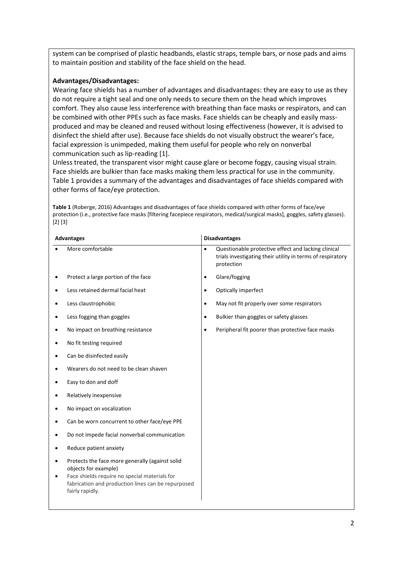system can be comprised of plastic headbands, elastic straps, temple bars, or nose pads and aims to maintain position and stability of the face shield on the head.

#### **Advantages/Disadvantages:**

Wearing face shields has a number of advantages and disadvantages: they are easy to use as they do not require a tight seal and one only needs to secure them on the head which improves comfort. They also cause less interference with breathing than face masks or respirators, and can be combined with other PPEs such as face masks. Face shields can be cheaply and easily massproduced and may be cleaned and reused without losing effectiveness (however, it is advised to disinfect the shield after use). Because face shields do not visually obstruct the wearer's face, facial expression is unimpeded, making them useful for people who rely on nonverbal communication such as lip-reading [1].

Unless treated, the transparent visor might cause glare or become foggy, causing visual strain. Face shields are bulkier than face masks making them less practical for use in the community. Table 1 provides a summary of the advantages and disadvantages of face shields compared with other forms of face/eye protection.

**Table 1** (Roberge, 2016) Advantages and disadvantages of face shields compared with other forms of face/eye protection (i.e., protective face masks [filtering facepiece respirators, medical/surgical masks], goggles, safety glasses). [2] [3]

| <b>Advantages</b>                                                                                                                                                                                 |           | <b>Disadvantages</b>                                                                                                            |  |
|---------------------------------------------------------------------------------------------------------------------------------------------------------------------------------------------------|-----------|---------------------------------------------------------------------------------------------------------------------------------|--|
| More comfortable                                                                                                                                                                                  | $\bullet$ | Questionable protective effect and lacking clinical<br>trials investigating their utility in terms of respiratory<br>protection |  |
| Protect a large portion of the face                                                                                                                                                               | $\bullet$ | Glare/fogging                                                                                                                   |  |
| Less retained dermal facial heat                                                                                                                                                                  | $\bullet$ | Optically imperfect                                                                                                             |  |
| Less claustrophobic                                                                                                                                                                               | $\bullet$ | May not fit properly over some respirators                                                                                      |  |
| Less fogging than goggles                                                                                                                                                                         | $\bullet$ | Bulkier than goggles or safety glasses                                                                                          |  |
| No impact on breathing resistance                                                                                                                                                                 | $\bullet$ | Peripheral fit poorer than protective face masks                                                                                |  |
| No fit testing required                                                                                                                                                                           |           |                                                                                                                                 |  |
| Can be disinfected easily                                                                                                                                                                         |           |                                                                                                                                 |  |
| Wearers do not need to be clean shaven                                                                                                                                                            |           |                                                                                                                                 |  |
| Easy to don and doff                                                                                                                                                                              |           |                                                                                                                                 |  |
| Relatively inexpensive                                                                                                                                                                            |           |                                                                                                                                 |  |
| No impact on vocalization                                                                                                                                                                         |           |                                                                                                                                 |  |
| Can be worn concurrent to other face/eye PPE                                                                                                                                                      |           |                                                                                                                                 |  |
| Do not impede facial nonverbal communication                                                                                                                                                      |           |                                                                                                                                 |  |
| Reduce patient anxiety                                                                                                                                                                            |           |                                                                                                                                 |  |
| Protects the face more generally (against solid<br>objects for example)<br>Face shields require no special materials for<br>fabrication and production lines can be repurposed<br>fairly rapidly. |           |                                                                                                                                 |  |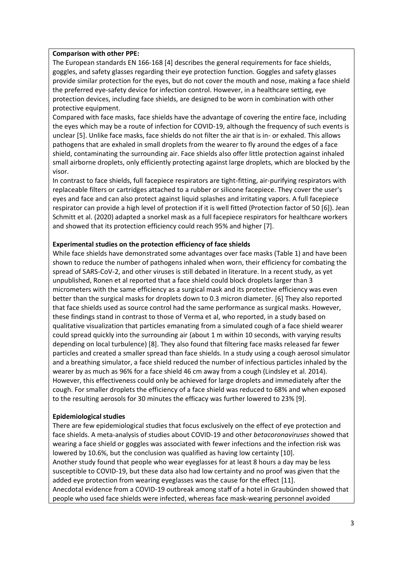#### **Comparison with other PPE:**

The European standards EN 166-168 [4] describes the general requirements for face shields, goggles, and safety glasses regarding their eye protection function. Goggles and safety glasses provide similar protection for the eyes, but do not cover the mouth and nose, making a face shield the preferred eye-safety device for infection control. However, in a healthcare setting, eye protection devices, including face shields, are designed to be worn in combination with other protective equipment.

Compared with face masks, face shields have the advantage of covering the entire face, including the eyes which may be a route of infection for COVID-19, although the frequency of such events is unclear [5]. Unlike face masks, face shields do not filter the air that is in- or exhaled. This allows pathogens that are exhaled in small droplets from the wearer to fly around the edges of a face shield, contaminating the surrounding air. Face shields also offer little protection against inhaled small airborne droplets, only efficiently protecting against large droplets, which are blocked by the visor.

In contrast to face shields, full facepiece respirators are tight-fitting, air-purifying respirators with replaceable filters or cartridges attached to a rubber or silicone facepiece. They cover the user's eyes and face and can also protect against liquid splashes and irritating vapors. A full facepiece respirator can provide a high level of protection if it is well fitted (Protection factor of 50 [6]). Jean Schmitt et al. (2020) adapted a snorkel mask as a full facepiece respirators for healthcare workers and showed that its protection efficiency could reach 95% and higher [7].

#### **Experimental studies on the protection efficiency of face shields**

While face shields have demonstrated some advantages over face masks (Table 1) and have been shown to reduce the number of pathogens inhaled when worn, their efficiency for combating the spread of SARS-CoV-2, and other viruses is still debated in literature. In a recent study, as yet unpublished, Ronen et al reported that a face shield could block droplets larger than 3 micrometers with the same efficiency as a surgical mask and its protective efficiency was even better than the surgical masks for droplets down to 0.3 micron diameter. [6] They also reported that face shields used as source control had the same performance as surgical masks. However, these findings stand in contrast to those of Verma et al, who reported, in a study based on qualitative visualization that particles emanating from a simulated cough of a face shield wearer could spread quickly into the surrounding air (about 1 m within 10 seconds, with varying results depending on local turbulence) [8]. They also found that filtering face masks released far fewer particles and created a smaller spread than face shields. In a study using a cough aerosol simulator and a breathing simulator, a face shield reduced the number of infectious particles inhaled by the wearer by as much as 96% for a face shield 46 cm away from a cough (Lindsley et al. 2014). However, this effectiveness could only be achieved for large droplets and immediately after the cough. For smaller droplets the efficiency of a face shield was reduced to 68% and when exposed to the resulting aerosols for 30 minutes the efficacy was further lowered to 23% [9].

#### **Epidemiological studies**

There are few epidemiological studies that focus exclusively on the effect of eye protection and face shields. A meta-analysis of studies about COVID-19 and other *betacoronaviruses* showed that wearing a face shield or goggles was associated with fewer infections and the infection risk was lowered by 10.6%, but the conclusion was qualified as having low certainty [10]. Another study found that people who wear eyeglasses for at least 8 hours a day may be less susceptible to COVID-19, but these data also had low certainty and no proof was given that the added eye protection from wearing eyeglasses was the cause for the effect [11]. Anecdotal evidence from a COVID-19 outbreak among staff of a hotel in Graubünden showed that people who used face shields were infected, whereas face mask-wearing personnel avoided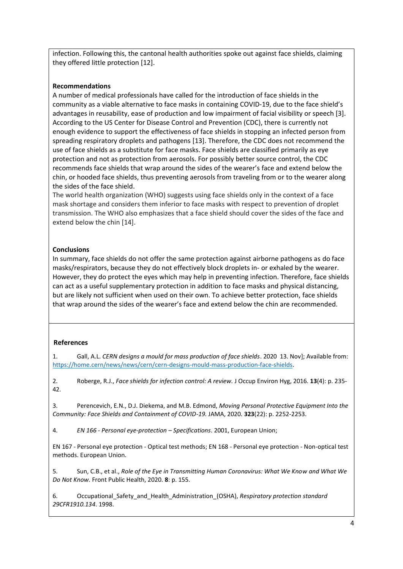infection. Following this, the cantonal health authorities spoke out against face shields, claiming they offered little protection [12].

#### **Recommendations**

A number of medical professionals have called for the introduction of face shields in the community as a viable alternative to face masks in containing COVID-19, due to the face shield's advantages in reusability, ease of production and low impairment of facial visibility or speech [3]. According to the US Center for Disease Control and Prevention (CDC), there is currently not enough evidence to support the effectiveness of face shields in stopping an infected person from spreading respiratory droplets and pathogens [13]. Therefore, the CDC does not recommend the use of face shields as a substitute for face masks. Face shields are classified primarily as eye protection and not as protection from aerosols. For possibly better source control, the CDC recommends face shields that wrap around the sides of the wearer's face and extend below the chin, or hooded face shields, thus preventing aerosols from traveling from or to the wearer along the sides of the face shield.

The world health organization (WHO) suggests using face shields only in the context of a face mask shortage and considers them inferior to face masks with respect to prevention of droplet transmission. The WHO also emphasizes that a face shield should cover the sides of the face and extend below the chin [14].

### **Conclusions**

In summary, face shields do not offer the same protection against airborne pathogens as do face masks/respirators, because they do not effectively block droplets in- or exhaled by the wearer. However, they do protect the eyes which may help in preventing infection. Therefore, face shields can act as a useful supplementary protection in addition to face masks and physical distancing, but are likely not sufficient when used on their own. To achieve better protection, face shields that wrap around the sides of the wearer's face and extend below the chin are recommended.

#### **References**

1. Gall, A.L. *CERN designs a mould for mass production of face shields*. 2020 13. Nov]; Available from: [https://home.cern/news/news/cern/cern-designs-mould-mass-production-face-shields.](https://home.cern/news/news/cern/cern-designs-mould-mass-production-face-shields)

2. Roberge, R.J., *Face shields for infection control: A review.* J Occup Environ Hyg, 2016. **13**(4): p. 235- 42.

3. Perencevich, E.N., D.J. Diekema, and M.B. Edmond, *Moving Personal Protective Equipment Into the Community: Face Shields and Containment of COVID-19.* JAMA, 2020. **323**(22): p. 2252-2253.

4. *EN 166 - Personal eye-protection – Specifications*. 2001, European Union;

EN 167 - Personal eye protection - Optical test methods; EN 168 - Personal eye protection - Non-optical test methods. European Union.

5. Sun, C.B., et al., *Role of the Eye in Transmitting Human Coronavirus: What We Know and What We Do Not Know.* Front Public Health, 2020. **8**: p. 155.

6. Occupational\_Safety\_and\_Health\_Administration\_(OSHA), *Respiratory protection standard 29CFR1910.134*. 1998.